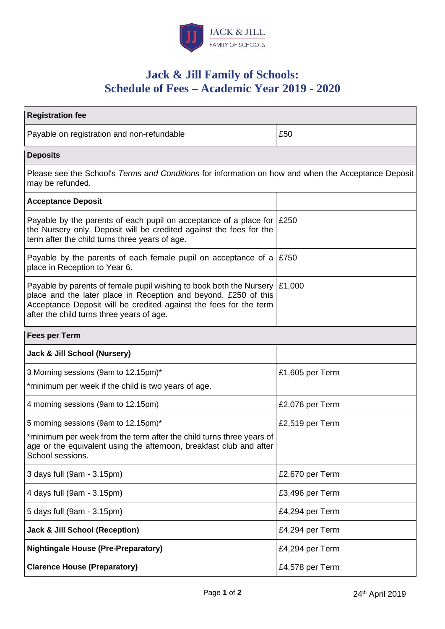

# **Jack & Jill Family of Schools: Schedule of Fees – Academic Year 2019 - 2020**

| <b>Registration fee</b>                                                                                                                                                                                                                                  |                 |
|----------------------------------------------------------------------------------------------------------------------------------------------------------------------------------------------------------------------------------------------------------|-----------------|
| Payable on registration and non-refundable                                                                                                                                                                                                               | £50             |
| <b>Deposits</b>                                                                                                                                                                                                                                          |                 |
| Please see the School's Terms and Conditions for information on how and when the Acceptance Deposit<br>may be refunded.                                                                                                                                  |                 |
| <b>Acceptance Deposit</b>                                                                                                                                                                                                                                |                 |
| Payable by the parents of each pupil on acceptance of a place for $\mid$ £250<br>the Nursery only. Deposit will be credited against the fees for the<br>term after the child turns three years of age.                                                   |                 |
| Payable by the parents of each female pupil on acceptance of a $\mid$ £750<br>place in Reception to Year 6.                                                                                                                                              |                 |
| Payable by parents of female pupil wishing to book both the Nursery<br>place and the later place in Reception and beyond. £250 of this<br>Acceptance Deposit will be credited against the fees for the term<br>after the child turns three years of age. | £1,000          |
| <b>Fees per Term</b>                                                                                                                                                                                                                                     |                 |
| Jack & Jill School (Nursery)                                                                                                                                                                                                                             |                 |
| 3 Morning sessions (9am to 12.15pm)*                                                                                                                                                                                                                     | £1,605 per Term |
| *minimum per week if the child is two years of age.                                                                                                                                                                                                      |                 |
| 4 morning sessions (9am to 12.15pm)                                                                                                                                                                                                                      | £2,076 per Term |
| 5 morning sessions (9am to 12.15pm)*                                                                                                                                                                                                                     | £2,519 per Term |
| *minimum per week from the term after the child turns three years of<br>age or the equivalent using the afternoon, breakfast club and after<br>School sessions.                                                                                          |                 |
| 3 days full (9am - 3.15pm)                                                                                                                                                                                                                               | £2,670 per Term |
| 4 days full (9am - 3.15pm)                                                                                                                                                                                                                               | £3,496 per Term |
| 5 days full (9am - 3.15pm)                                                                                                                                                                                                                               | £4,294 per Term |
| <b>Jack &amp; Jill School (Reception)</b>                                                                                                                                                                                                                | £4,294 per Term |
| <b>Nightingale House (Pre-Preparatory)</b>                                                                                                                                                                                                               | £4,294 per Term |
| <b>Clarence House (Preparatory)</b>                                                                                                                                                                                                                      | £4,578 per Term |